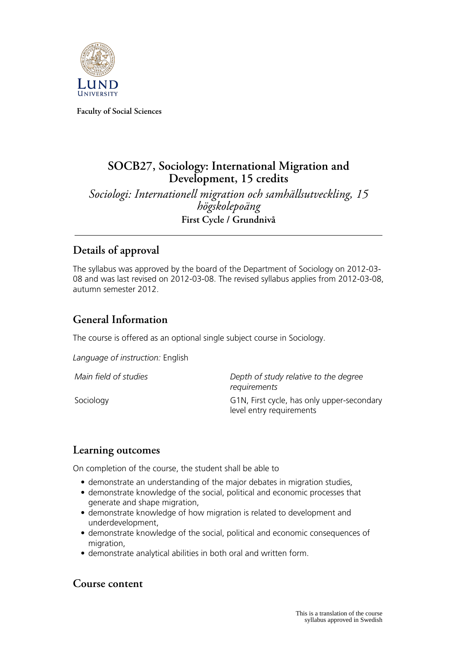

**Faculty of Social Sciences**

# **SOCB27, Sociology: International Migration and** Development, 15 credits

*Sociologi: Internationell migration och samhällsutveckling, 15 högskolepoäng* **First Cycle / Grundnivå**

## **Details of approval**

The syllabus was approved by the board of the Department of Sociology on 2012-03- 08 and was last revised on 2012-03-08. The revised syllabus applies from 2012-03-08, autumn semester 2012.

## **General Information**

The course is offered as an optional single subject course in Sociology.

*Language of instruction:* English

*Main field of studies Depth of study relative to the degree requirements* Sociology G1N, First cycle, has only upper-secondary level entry requirements

### **Learning outcomes**

On completion of the course, the student shall be able to

- demonstrate an understanding of the major debates in migration studies,
- demonstrate knowledge of the social, political and economic processes that generate and shape migration,
- demonstrate knowledge of how migration is related to development and underdevelopment,
- demonstrate knowledge of the social, political and economic consequences of migration,
- demonstrate analytical abilities in both oral and written form.

### **Course content**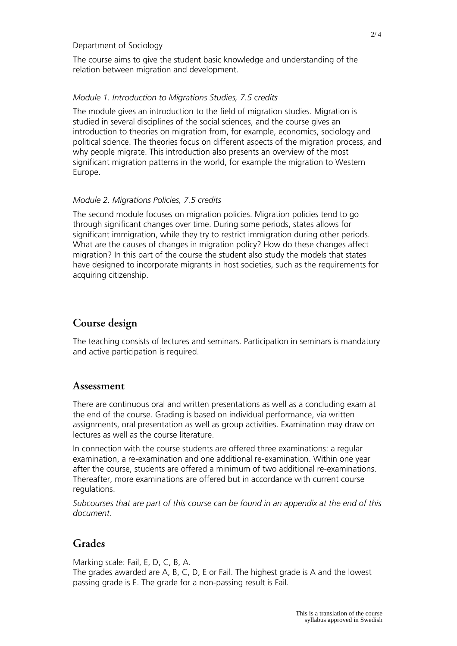#### Department of Sociology

The course aims to give the student basic knowledge and understanding of the relation between migration and development.

#### *Module 1. Introduction to Migrations Studies, 7.5 credits*

The module gives an introduction to the field of migration studies. Migration is studied in several disciplines of the social sciences, and the course gives an introduction to theories on migration from, for example, economics, sociology and political science. The theories focus on different aspects of the migration process, and why people migrate. This introduction also presents an overview of the most significant migration patterns in the world, for example the migration to Western Europe.

#### *Module 2. Migrations Policies, 7.5 credits*

The second module focuses on migration policies. Migration policies tend to go through significant changes over time. During some periods, states allows for significant immigration, while they try to restrict immigration during other periods. What are the causes of changes in migration policy? How do these changes affect migration? In this part of the course the student also study the models that states have designed to incorporate migrants in host societies, such as the requirements for acquiring citizenship.

## **Course design**

The teaching consists of lectures and seminars. Participation in seminars is mandatory and active participation is required.

#### **Assessment**

There are continuous oral and written presentations as well as a concluding exam at the end of the course. Grading is based on individual performance, via written assignments, oral presentation as well as group activities. Examination may draw on lectures as well as the course literature.

In connection with the course students are offered three examinations: a regular examination, a re-examination and one additional re-examination. Within one year after the course, students are offered a minimum of two additional re-examinations. Thereafter, more examinations are offered but in accordance with current course regulations.

*Subcourses that are part of this course can be found in an appendix at the end of this document.*

### **Grades**

Marking scale: Fail, E, D, C, B, A.

The grades awarded are A, B, C, D, E or Fail. The highest grade is A and the lowest passing grade is E. The grade for a non-passing result is Fail.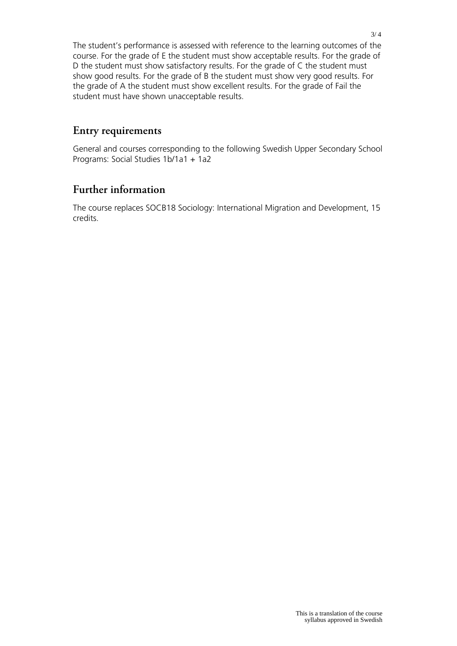The student's performance is assessed with reference to the learning outcomes of the course. For the grade of E the student must show acceptable results. For the grade of D the student must show satisfactory results. For the grade of C the student must show good results. For the grade of B the student must show very good results. For the grade of A the student must show excellent results. For the grade of Fail the student must have shown unacceptable results.

### **Entry requirements**

General and courses corresponding to the following Swedish Upper Secondary School Programs: Social Studies 1b/1a1 + 1a2

### **Further information**

The course replaces SOCB18 Sociology: International Migration and Development, 15 credits.